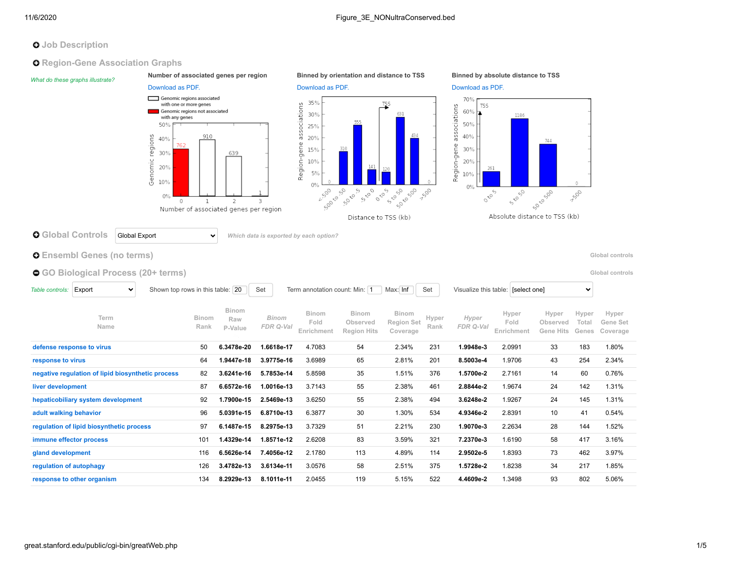# **O** Job Description

**Q** Region-Gene Association Graphs

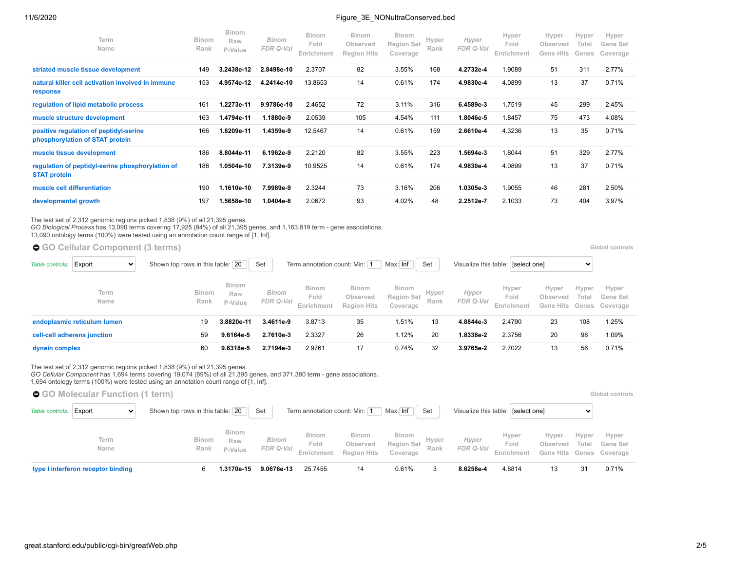### 11/6/2020 Figure 3E\_NONultraConserved.bed

| Term<br>Name                                                              | <b>Binom</b><br>Rank | <b>Binom</b><br>Raw<br>P-Value | <b>Binom</b><br>FDR Q-Val | <b>Binom</b><br>Fold<br>Enrichment | <b>Binom</b><br>Observed<br><b>Region Hits</b> | <b>Binom</b><br><b>Region Set</b><br>Coverage | Hyper<br>Rank | Hyper<br>FDR Q-Val | Hyper<br>Fold<br>Enrichment | Hyper<br>Observed<br><b>Gene Hits</b> | Hyper<br>Total<br>Genes | Hyper<br>Gene Set<br>Coverage |
|---------------------------------------------------------------------------|----------------------|--------------------------------|---------------------------|------------------------------------|------------------------------------------------|-----------------------------------------------|---------------|--------------------|-----------------------------|---------------------------------------|-------------------------|-------------------------------|
| striated muscle tissue development                                        | 149                  | 3.2438e-12                     | 2.8498e-10                | 2.3707                             | 82                                             | 3.55%                                         | 168           | 4.2732e-4          | 1.9089                      | 51                                    | 311                     | 2.77%                         |
| natural killer cell activation involved in immune<br>response             | 153                  | 4.9574e-12                     | 4.2414e-10                | 13.8653                            | 14                                             | 0.61%                                         | 174           | 4.9830e-4          | 4.0899                      | 13                                    | 37                      | 0.71%                         |
| regulation of lipid metabolic process                                     | 161                  | 1.2273e-11                     | 9.9786e-10                | 2.4652                             | 72                                             | 3.11%                                         | 316           | 6.4589e-3          | 1.7519                      | 45                                    | 299                     | 2.45%                         |
| muscle structure development                                              | 163                  | 1.4794e-11                     | 1.1880e-9                 | 2.0539                             | 105                                            | 4.54%                                         | 111           | 1.8046e-5          | 1.8457                      | 75                                    | 473                     | 4.08%                         |
| positive regulation of peptidyl-serine<br>phosphorylation of STAT protein | 166                  | 1.8209e-11                     | 1.4359e-9                 | 12.5467                            | 14                                             | 0.61%                                         | 159           | 2.6610e-4          | 4.3236                      | 13                                    | 35                      | 0.71%                         |
| muscle tissue development                                                 | 186                  | 8.8044e-11                     | 6.1962e-9                 | 2.2120                             | 82                                             | 3.55%                                         | 223           | 1.5694e-3          | 1.8044                      | 51                                    | 329                     | 2.77%                         |
| regulation of peptidyl-serine phosphorylation of<br><b>STAT protein</b>   | 188                  | 1.0504e-10                     | 7.3139e-9                 | 10.9525                            | 14                                             | 0.61%                                         | 174           | 4.9830e-4          | 4.0899                      | 13                                    | 37                      | 0.71%                         |
| muscle cell differentiation                                               | 190                  | 1.1610e-10                     | 7.9989e-9                 | 2.3244                             | 73                                             | 3.16%                                         | 206           | 1.0305e-3          | 1.9055                      | 46                                    | 281                     | 2.50%                         |
| developmental growth                                                      | 197                  | 1.5658e-10                     | 1.0404e-8                 | 2.0672                             | 93                                             | 4.02%                                         | 48            | 2.2512e-7          | 2.1033                      | 73                                    | 404                     | 3.97%                         |

The test set of 2,312 genomic regions picked 1,838 (9%) of all 21,395 genes.

*GO Biological Process* has 13,090 terms covering 17,925 (84%) of all 21,395 genes, and 1,163,819 term - gene associations.

13,090 ontology terms (100%) were tested using an annotation count range of [1, Inf].

| ● GO Cellular Component (3 terms)         |                                  |                                |                                                         |                                    |                                                |                                        |               |                    |                             |                                    | Global controls |                                     |  |  |  |
|-------------------------------------------|----------------------------------|--------------------------------|---------------------------------------------------------|------------------------------------|------------------------------------------------|----------------------------------------|---------------|--------------------|-----------------------------|------------------------------------|-----------------|-------------------------------------|--|--|--|
| Table controls:<br>Export<br>$\checkmark$ | Shown top rows in this table: 20 |                                | Max: Inf<br>Term annotation count: Min: 1<br>Set<br>Set |                                    |                                                |                                        |               |                    |                             | Visualize this table: [select one] |                 |                                     |  |  |  |
| Term<br>Name                              | Binom<br>Rank                    | <b>Binom</b><br>Raw<br>P-Value | Binom<br>FDR Q-Val                                      | <b>Binom</b><br>Fold<br>Enrichment | <b>Binom</b><br>Observed<br><b>Region Hits</b> | <b>Binom</b><br>Region Set<br>Coverage | Hyper<br>Rank | Hyper<br>FDR Q-Val | Hyper<br>Fold<br>Enrichment | Hyper<br>Observed<br>Gene Hits     | Hyper<br>Total  | Hyper<br>Gene Set<br>Genes Coverage |  |  |  |
| endoplasmic reticulum lumen               | 19                               | 3.8820e-11                     | 3.4611e-9                                               | 3.8713                             | 35                                             | 1.51%                                  | 13            | 4.8844e-3          | 2.4790                      | 23                                 | 108             | 1.25%                               |  |  |  |
| cell-cell adherens junction               | 59                               | 9.6164e-5                      | 2.7610e-3                                               | 2.3327                             | 26                                             | 1.12%                                  | 20            | 1.8338e-2          | 2.3756                      | 20                                 | 98              | 1.09%                               |  |  |  |
| dynein complex                            | 60                               | 9.6318e-5                      | 2.7194e-3                                               | 2.9761                             | 17                                             | 0.74%                                  | 32            | 3.9765e-2          | 2.7022                      | 13                                 | 56              | 0.71%                               |  |  |  |

The test set of 2,312 genomic regions picked 1,838 (9%) of all 21,395 genes.

*GO Cellular Component* has 1,694 terms covering 19,074 (89%) of all 21,395 genes, and 371,380 term - gene associations.

1,694 ontology terms (100%) were tested using an annotation count range of [1, Inf].

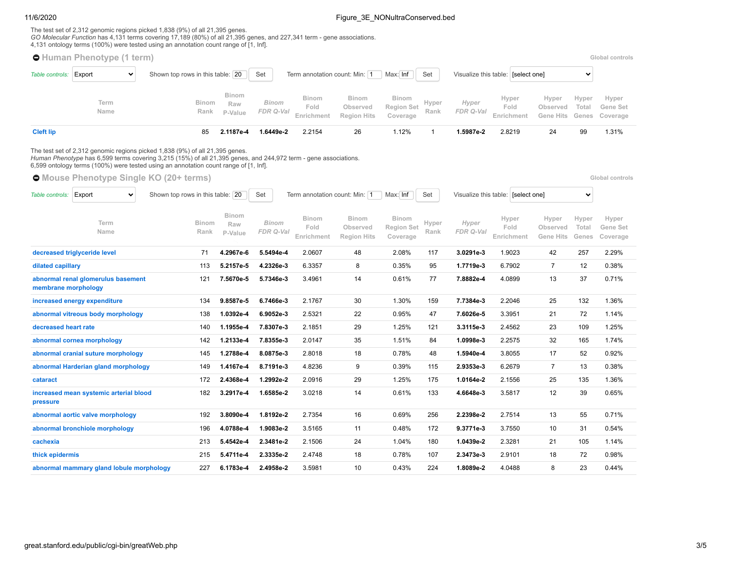## 11/6/2020 **Figure 3E\_NONultraConserved.bed**

The test set of 2,312 genomic regions picked 1,838 (9%) of all 21,395 genes.<br>*GO Molecular Function* has 4,131 terms covering 17,189 (80%) of all 21,395 genes, and 227,341 term - gene associations.<br>4,131 ontology terms (10

|                        | <b>O</b> Human Phenotype (1 term)                                                                                                                                                                                                                                                       |                                  |                                |                           |                                                         |                                                |                                               |                                                    |                    |                             |                                |                         | Global controls               |
|------------------------|-----------------------------------------------------------------------------------------------------------------------------------------------------------------------------------------------------------------------------------------------------------------------------------------|----------------------------------|--------------------------------|---------------------------|---------------------------------------------------------|------------------------------------------------|-----------------------------------------------|----------------------------------------------------|--------------------|-----------------------------|--------------------------------|-------------------------|-------------------------------|
| Table controls: Export | $\checkmark$                                                                                                                                                                                                                                                                            | Shown top rows in this table: 20 |                                | Set                       | Term annotation count: Min: 1                           |                                                | Max: Inf                                      | Visualize this table: [select one]<br>$\checkmark$ |                    |                             |                                |                         |                               |
|                        | Term<br>Name                                                                                                                                                                                                                                                                            | <b>Binom</b><br>Rank             | <b>Binom</b><br>Raw<br>P-Value | <b>Binom</b><br>FDR Q-Val | <b>Binom</b><br>Fold<br>Enrichment                      | <b>Binom</b><br>Observed<br><b>Region Hits</b> | <b>Binom</b><br><b>Region Set</b><br>Coverage | Hyper<br>Rank                                      | Hyper<br>FDR Q-Val | Hyper<br>Fold<br>Enrichment | Hyper<br>Observed<br>Gene Hits | Hyper<br>Total<br>Genes | Hyper<br>Gene Set<br>Coverage |
| <b>Cleft lip</b>       |                                                                                                                                                                                                                                                                                         | 85                               | 2.1187e-4                      | 1.6449e-2                 | 2.2154                                                  | 26                                             | 1.12%                                         | $\overline{1}$                                     | 1.5987e-2          | 2.8219                      | 24                             | 99                      | 1.31%                         |
|                        | The test set of 2,312 genomic regions picked 1,838 (9%) of all 21,395 genes.<br>Human Phenotype has 6,599 terms covering 3,215 (15%) of all 21,395 genes, and 244,972 term - gene associations.<br>6,599 ontology terms (100%) were tested using an annotation count range of [1, Inf]. |                                  |                                |                           |                                                         |                                                |                                               |                                                    |                    |                             |                                |                         |                               |
|                        | <b>O</b> Mouse Phenotype Single KO (20+ terms)                                                                                                                                                                                                                                          |                                  |                                |                           |                                                         |                                                |                                               |                                                    |                    |                             |                                |                         | Global controls               |
| Table controls:        | Export<br>$\checkmark$                                                                                                                                                                                                                                                                  | Shown top rows in this table: 20 |                                |                           | Term annotation count: Min: 1<br>Set<br>Max: Inf<br>Set |                                                |                                               | Visualize this table: [select one]<br>$\checkmark$ |                    |                             |                                |                         |                               |
|                        | Term<br>Name                                                                                                                                                                                                                                                                            | <b>Binom</b><br>Rank             | <b>Binom</b><br>Raw<br>P-Value | <b>Binom</b><br>FDR Q-Val | <b>Binom</b><br>Fold<br>Enrichment                      | <b>Binom</b><br>Observed<br><b>Region Hits</b> | <b>Binom</b><br><b>Region Set</b><br>Coverage | Hyper<br>Rank                                      | Hyper<br>FDR Q-Val | Hyper<br>Fold<br>Enrichment | Hyper<br>Observed<br>Gene Hits | Hyper<br>Total<br>Genes | Hyper<br>Gene Set<br>Coverage |
|                        | decreased triglyceride level                                                                                                                                                                                                                                                            | 71                               | 4.2967e-6                      | 5.5494e-4                 | 2.0607                                                  | 48                                             | 2.08%                                         | 117                                                | 3.0291e-3          | 1.9023                      | 42                             | 257                     | 2.29%                         |
| dilated capillary      |                                                                                                                                                                                                                                                                                         | 113                              | 5.2157e-5                      | 4.2326e-3                 | 6.3357                                                  | 8                                              | 0.35%                                         | 95                                                 | 1.7719e-3          | 6.7902                      | $\overline{7}$                 | 12                      | 0.38%                         |
| membrane morphology    | abnormal renal glomerulus basement                                                                                                                                                                                                                                                      | 121                              | 7.5670e-5                      | 5.7346e-3                 | 3.4961                                                  | 14                                             | 0.61%                                         | 77                                                 | 7.8882e-4          | 4.0899                      | 13                             | 37                      | 0.71%                         |
|                        | increased energy expenditure                                                                                                                                                                                                                                                            | 134                              | 9.8587e-5                      | 6.7466e-3                 | 2.1767                                                  | 30                                             | 1.30%                                         | 159                                                | 7.7384e-3          | 2.2046                      | 25                             | 132                     | 1.36%                         |
|                        | abnormal vitreous body morphology                                                                                                                                                                                                                                                       | 138                              | 1.0392e-4                      | 6.9052e-3                 | 2.5321                                                  | 22                                             | 0.95%                                         | 47                                                 | 7.6026e-5          | 3.3951                      | 21                             | 72                      | 1.14%                         |
| decreased heart rate   |                                                                                                                                                                                                                                                                                         | 140                              | 1.1955e-4                      | 7.8307e-3                 | 2.1851                                                  | 29                                             | 1.25%                                         | 121                                                | 3.3115e-3          | 2.4562                      | 23                             | 109                     | 1.25%                         |
|                        | abnormal cornea morphology                                                                                                                                                                                                                                                              | 142                              | 1.2133e-4                      | 7.8355e-3                 | 2.0147                                                  | 35                                             | 1.51%                                         | 84                                                 | 1.0998e-3          | 2.2575                      | 32                             | 165                     | 1.74%                         |
|                        | abnormal cranial suture morphology                                                                                                                                                                                                                                                      | 145                              | 1.2788e-4                      | 8.0875e-3                 | 2.8018                                                  | 18                                             | 0.78%                                         | 48                                                 | 1.5940e-4          | 3.8055                      | 17                             | 52                      | 0.92%                         |
|                        | abnormal Harderian gland morphology                                                                                                                                                                                                                                                     | 149                              | 1.4167e-4                      | 8.7191e-3                 | 4.8236                                                  | 9                                              | 0.39%                                         | 115                                                | 2.9353e-3          | 6.2679                      | $\overline{7}$                 | 13                      | 0.38%                         |
| cataract               |                                                                                                                                                                                                                                                                                         | 172                              | 2.4368e-4                      | 1.2992e-2                 | 2.0916                                                  | 29                                             | 1.25%                                         | 175                                                | 1.0164e-2          | 2.1556                      | 25                             | 135                     | 1.36%                         |
| pressure               | increased mean systemic arterial blood                                                                                                                                                                                                                                                  | 182                              | 3.2917e-4                      | 1.6585e-2                 | 3.0218                                                  | 14                                             | 0.61%                                         | 133                                                | 4.6648e-3          | 3.5817                      | 12                             | 39                      | 0.65%                         |
|                        | abnormal aortic valve morphology                                                                                                                                                                                                                                                        | 192                              | 3.8090e-4                      | 1.8192e-2                 | 2.7354                                                  | 16                                             | 0.69%                                         | 256                                                | 2.2398e-2          | 2.7514                      | 13                             | 55                      | 0.71%                         |
|                        | abnormal bronchiole morphology                                                                                                                                                                                                                                                          | 196                              | 4.0788e-4                      | 1.9083e-2                 | 3.5165                                                  | 11                                             | 0.48%                                         | 172                                                | 9.3771e-3          | 3.7550                      | 10                             | 31                      | 0.54%                         |
| cachexia               |                                                                                                                                                                                                                                                                                         | 213                              | 5.4542e-4                      | 2.3481e-2                 | 2.1506                                                  | 24                                             | 1.04%                                         | 180                                                | 1.0439e-2          | 2.3281                      | 21                             | 105                     | 1.14%                         |
| thick epidermis        |                                                                                                                                                                                                                                                                                         | 215                              | 5.4711e-4                      | 2.3335e-2                 | 2.4748                                                  | 18                                             | 0.78%                                         | 107                                                | 2.3473e-3          | 2.9101                      | 18                             | 72                      | 0.98%                         |
|                        | abnormal mammary gland lobule morphology                                                                                                                                                                                                                                                | 227                              | 6.1783e-4                      | 2.4958e-2                 | 3.5981                                                  | 10                                             | 0.43%                                         | 224                                                | 1.8089e-2          | 4.0488                      | 8                              | 23                      | 0.44%                         |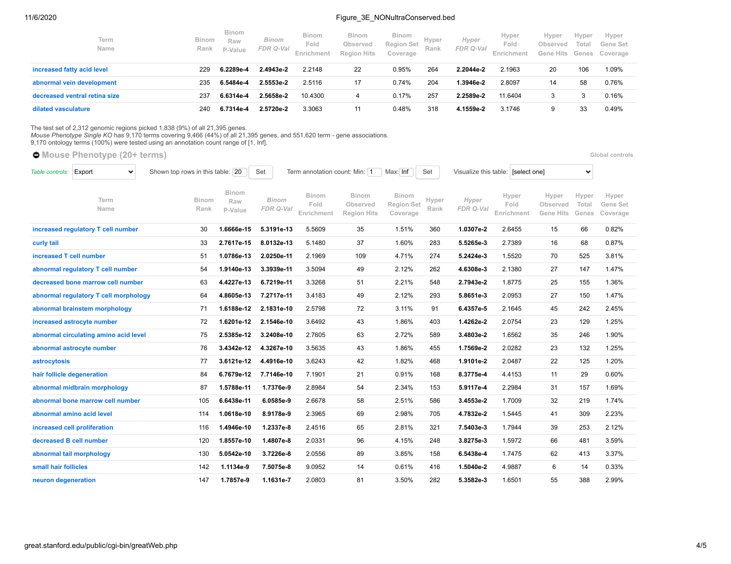## 11/6/2020 **Figure 3E\_NONultraConserved.bed**

| Term<br>Name                  | Binom<br>Rank | <b>Binom</b><br>Raw<br>P-Value | <b>Binom</b><br>FDR Q-Val | <b>Binom</b><br>Fold<br>Enrichment | <b>Binom</b><br>Observed<br><b>Region Hits</b> | <b>Binom</b><br><b>Region Set</b><br>Coverage | Hyper<br>Rank | Hyper<br>FDR Q-Val | Hyper<br>Fold<br>Enrichment | Hyper<br>Observed<br>Gene Hits | Hyper<br>Total<br>Genes | Hyper<br>Gene Set<br>Coverage |
|-------------------------------|---------------|--------------------------------|---------------------------|------------------------------------|------------------------------------------------|-----------------------------------------------|---------------|--------------------|-----------------------------|--------------------------------|-------------------------|-------------------------------|
| increased fatty acid level    | 229           | 6.2289e-4                      | 2.4943e-2                 | 2.2148                             | 22                                             | 0.95%                                         | 264           | 2.2044e-2          | 2.1963                      | 20                             | 106                     | 1.09%                         |
| abnormal vein development     | 235           | 6.5484e-4                      | 2.5553e-2                 | 2.5116                             | 17                                             | 0.74%                                         | 204           | 1.3946e-2          | 2.8097                      | 14                             | 58                      | 0.76%                         |
| decreased ventral retina size | 237           | 6.6314e-4                      | 2.5658e-2                 | 10.4300                            |                                                | 0.17%                                         | 257           | 2.2589e-2          | 11.6404                     |                                | 3                       | 0.16%                         |
| dilated vasculature           | 240           | 6.7314e-4                      | 2.5720e-2                 | 3.3063                             |                                                | 0.48%                                         | 318           | 4.1559e-2          | 3.1746                      | 9                              | 33                      | 0.49%                         |

The test set of 2,312 genomic regions picked 1,838 (9%) of all 21,395 genes.<br>*Mouse Phenotype Single KO* has 9,170 terms covering 9,466 (44%) of all 21,395 genes, and 551,620 term - gene associations.<br>9,170 ontology terms

**[Mouse Phenotype](https://great-help.atlassian.net/wiki/spaces/GREAT/Mouse+Phenotype) (20+ terms) [Global controls](http://great.stanford.edu/public/cgi-bin/greatWeb.php#global_controls_header) Global controls Global controls** 

| Table controls:         | Export<br>$\checkmark$                | Shown top rows in this table: 20 |                         | Set                       | Term annotation count: Min: 1 |                                                | Max: Inf                                      | Set           | Visualize this table: [select one] |                             |                                       | $\checkmark$            |                               |
|-------------------------|---------------------------------------|----------------------------------|-------------------------|---------------------------|-------------------------------|------------------------------------------------|-----------------------------------------------|---------------|------------------------------------|-----------------------------|---------------------------------------|-------------------------|-------------------------------|
|                         | Term<br>Name                          | <b>Binom</b><br>Rank             | Binom<br>Raw<br>P-Value | <b>Binom</b><br>FDR Q-Val | Binom<br>Fold<br>Enrichment   | <b>Binom</b><br>Observed<br><b>Region Hits</b> | <b>Binom</b><br><b>Region Set</b><br>Coverage | Hyper<br>Rank | Hyper<br>FDR Q-Val                 | Hyper<br>Fold<br>Enrichment | Hyper<br>Observed<br><b>Gene Hits</b> | Hyper<br>Total<br>Genes | Hyper<br>Gene Set<br>Coverage |
|                         | increased regulatory T cell number    | 30                               | 1.6666e-15              | 5.3191e-13                | 5.5609                        | 35                                             | 1.51%                                         | 360           | 1.0307e-2                          | 2.6455                      | 15                                    | 66                      | 0.82%                         |
| curly tail              |                                       | 33                               | 2.7617e-15              | 8.0132e-13                | 5.1480                        | 37                                             | 1.60%                                         | 283           | 5.5265e-3                          | 2.7389                      | 16                                    | 68                      | 0.87%                         |
| increased T cell number |                                       | 51                               | 1.0786e-13              | 2.0250e-11                | 2.1969                        | 109                                            | 4.71%                                         | 274           | 5.2424e-3                          | 1.5520                      | 70                                    | 525                     | 3.81%                         |
|                         | abnormal regulatory T cell number     | 54                               | 1.9140e-13              | 3.3939e-11                | 3.5094                        | 49                                             | 2.12%                                         | 262           | 4.6308e-3                          | 2.1380                      | 27                                    | 147                     | 1.47%                         |
|                         | decreased bone marrow cell number     | 63                               | 4.4227e-13              | 6.7219e-11                | 3.3268                        | 51                                             | 2.21%                                         | 548           | 2.7943e-2                          | 1.8775                      | 25                                    | 155                     | 1.36%                         |
|                         | abnormal regulatory T cell morphology | 64                               | 4.8605e-13              | 7.2717e-11                | 3.4183                        | 49                                             | 2.12%                                         | 293           | 5.8651e-3                          | 2.0953                      | 27                                    | 150                     | 1.47%                         |
|                         | abnormal brainstem morphology         | 71                               | 1.6188e-12              | 2.1831e-10                | 2.5798                        | 72                                             | 3.11%                                         | 91            | 6.4357e-5                          | 2.1645                      | 45                                    | 242                     | 2.45%                         |
|                         | increased astrocyte number            | 72                               | 1.6201e-12              | 2.1546e-10                | 3.6492                        | 43                                             | 1.86%                                         | 403           | 1.4262e-2                          | 2.0754                      | 23                                    | 129                     | 1.25%                         |
|                         | abnormal circulating amino acid level | 75                               | 2.5385e-12              | 3.2408e-10                | 2.7605                        | 63                                             | 2.72%                                         | 589           | 3.4803e-2                          | 1.6562                      | 35                                    | 246                     | 1.90%                         |
|                         | abnormal astrocyte number             | 76                               | 3.4342e-12              | 4.3267e-10                | 3.5635                        | 43                                             | 1.86%                                         | 455           | 1.7569e-2                          | 2.0282                      | 23                                    | 132                     | 1.25%                         |
| astrocytosis            |                                       | 77                               | 3.6121e-12              | 4.4916e-10                | 3.6243                        | 42                                             | 1.82%                                         | 468           | 1.9101e-2                          | 2.0487                      | 22                                    | 125                     | 1.20%                         |
|                         | hair follicle degeneration            | 84                               | 6.7679e-12              | 7.7146e-10                | 7.1901                        | 21                                             | 0.91%                                         | 168           | 8.3775e-4                          | 4.4153                      | 11                                    | 29                      | 0.60%                         |
|                         | abnormal midbrain morphology          | 87                               | 1.5788e-11              | 1.7376e-9                 | 2.8984                        | 54                                             | 2.34%                                         | 153           | 5.9117e-4                          | 2.2984                      | 31                                    | 157                     | 1.69%                         |
|                         | abnormal bone marrow cell number      | 105                              | 6.6438e-11              | 6.0585e-9                 | 2.6678                        | 58                                             | 2.51%                                         | 586           | 3.4553e-2                          | 1.7009                      | 32                                    | 219                     | 1.74%                         |
|                         | abnormal amino acid level             | 114                              | 1.0618e-10              | 8.9178e-9                 | 2.3965                        | 69                                             | 2.98%                                         | 705           | 4.7832e-2                          | 1.5445                      | 41                                    | 309                     | 2.23%                         |
|                         | increased cell proliferation          | 116                              | 1.4946e-10              | 1.2337e-8                 | 2.4516                        | 65                                             | 2.81%                                         | 321           | 7.5403e-3                          | 1.7944                      | 39                                    | 253                     | 2.12%                         |
|                         | decreased B cell number               | 120                              | 1.8557e-10              | 1.4807e-8                 | 2.0331                        | 96                                             | 4.15%                                         | 248           | 3.8275e-3                          | 1.5972                      | 66                                    | 481                     | 3.59%                         |
|                         | abnormal tail morphology              | 130                              | 5.0542e-10              | 3.7226e-8                 | 2.0556                        | 89                                             | 3.85%                                         | 158           | 6.5438e-4                          | 1.7475                      | 62                                    | 413                     | 3.37%                         |
| small hair follicles    |                                       | 142                              | 1.1134e-9               | 7.5075e-8                 | 9.0952                        | 14                                             | 0.61%                                         | 416           | 1.5040e-2                          | 4.9887                      | 6                                     | 14                      | 0.33%                         |
| neuron degeneration     |                                       | 147                              | 1.7857e-9               | 1.1631e-7                 | 2.0803                        | 81                                             | 3.50%                                         | 282           | 5.3582e-3                          | 1.6501                      | 55                                    | 388                     | 2.99%                         |